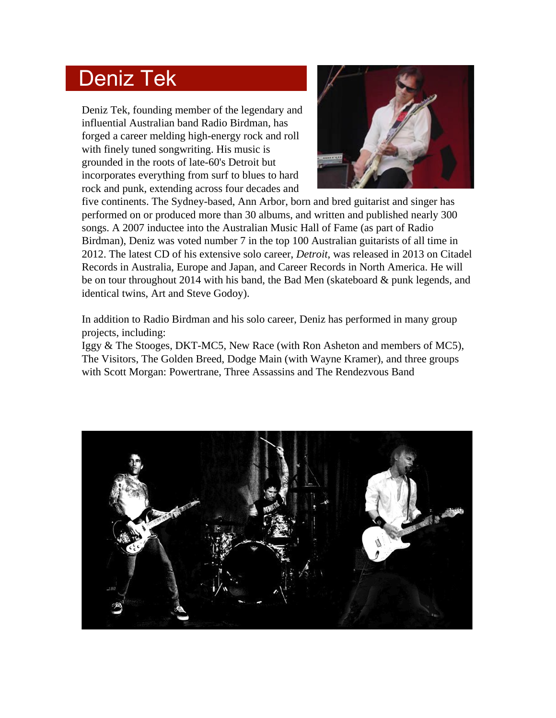## Deniz Tek

Deniz Tek, founding member of the legendary and influential Australian band Radio Birdman, has forged a career melding high-energy rock and roll with finely tuned songwriting. His music is grounded in the roots of late-60's Detroit but incorporates everything from surf to blues to hard rock and punk, extending across four decades and



five continents. The Sydney-based, Ann Arbor, born and bred guitarist and singer has performed on or produced more than 30 albums, and written and published nearly 300 songs. A 2007 inductee into the Australian Music Hall of Fame (as part of Radio Birdman), Deniz was voted number 7 in the top 100 Australian guitarists of all time in 2012. The latest CD of his extensive solo career, *Detroit*, was released in 2013 on Citadel Records in Australia, Europe and Japan, and Career Records in North America. He will be on tour throughout 2014 with his band, the Bad Men (skateboard & punk legends, and identical twins, Art and Steve Godoy).

In addition to Radio Birdman and his solo career, Deniz has performed in many group projects, including:

Iggy & The Stooges, DKT-MC5, New Race (with Ron Asheton and members of MC5), The Visitors, The Golden Breed, Dodge Main (with Wayne Kramer), and three groups with Scott Morgan: Powertrane, Three Assassins and The Rendezvous Band